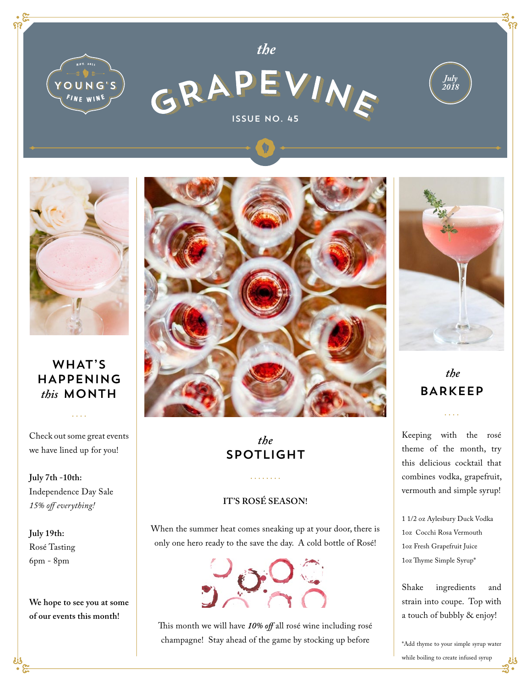



*the*



## WHAT'S HAPPENING *this* MONTH

Check out some great events we have lined up for you!

 $\mathbf{1}$ 

**July 7th -10th:**  Independence Day Sale *15% off everything!*

**July 19th:**  Rosé Tasting 6pm - 8pm

**We hope to see you at some of our events this month!**



# *the* SPOTLIGHT

#### **IT'S ROSÉ SEASON!**

When the summer heat comes sneaking up at your door, there is only one hero ready to the save the day. A cold bottle of Rosé!



This month we will have *10% off* all rosé wine including rosé champagne! Stay ahead of the game by stocking up before



*July 2018*

 *the* BARKEEP

Keeping with the rosé theme of the month, try this delicious cocktail that combines vodka, grapefruit, vermouth and simple syrup!

1 1/2 oz Aylesbury Duck Vodka 1oz Cocchi Rosa Vermouth 1oz Fresh Grapefruit Juice 1oz Thyme Simple Syrup\*

Shake ingredients and strain into coupe. Top with a touch of bubbly & enjoy!

\*Add thyme to your simple syrup water while boiling to create infused syrup